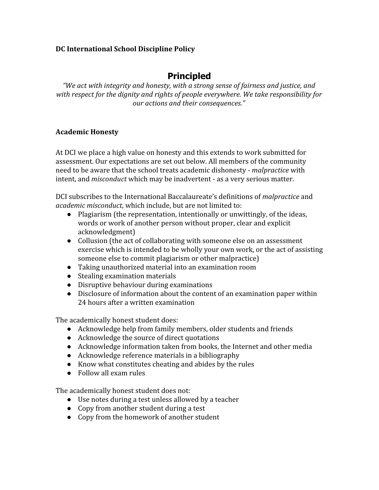#### **DC International School Discipline Policy**

# **Principled**

*"We act with integrity and honesty, with a strong sense of fairness and justice, and with respect for the dignity and rights of people everywhere. We take responsibility for our actions and their consequences."*

#### **Academic Honesty**

At DCI we place a high value on honesty and this extends to work submitted for assessment. Our expectations are set out below. All members of the community need to be aware that the school treats academic dishonesty - *malpractice* with intent, and *misconduct* which may be inadvertent - as a very serious matter.

DCI subscribes to the International Baccalaureate's definitions of *malpractice* and *academic misconduct*, which include, but are not limited to:

- Plagiarism (the representation, intentionally or unwittingly, of the ideas, words or work of another person without proper, clear and explicit acknowledgment)
- Collusion (the act of collaborating with someone else on an assessment exercise which is intended to be wholly your own work, or the act of assisting someone else to commit plagiarism or other malpractice)
- Taking unauthorized material into an examination room
- Stealing examination materials
- Disruptive behaviour during examinations
- Disclosure of information about the content of an examination paper within 24 hours after a written examination

The academically honest student does:

- Acknowledge help from family members, older students and friends
- Acknowledge the source of direct quotations
- Acknowledge information taken from books, the Internet and other media
- Acknowledge reference materials in a bibliography
- Know what constitutes cheating and abides by the rules
- Follow all exam rules

The academically honest student does not:

- Use notes during a test unless allowed by a teacher
- Copy from another student during a test
- Copy from the homework of another student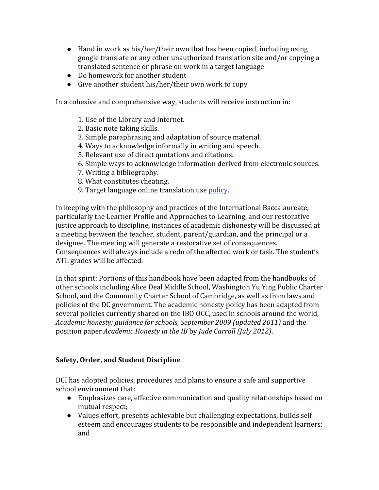- $\bullet$  Hand in work as his/her/their own that has been copied, including using google translate or any other unauthorized translation site and/or copying a translated sentence or phrase on work in a target language
- Do homework for another student
- Give another student his/her/their own work to copy

In a cohesive and comprehensive way, students will receive instruction in:

- 1. Use of the Library and Internet.
- 2. Basic note taking skills.
- 3. Simple paraphrasing and adaptation of source material.
- 4. Ways to acknowledge informally in writing and speech.
- 5. Relevant use of direct quotations and citations.
- 6. Simple ways to acknowledge information derived from electronic sources.
- 7. Writing a bibliography.
- 8. What constitutes cheating.
- 9. Target language online translation use [policy.](https://docs.google.com/document/d/1j3r3ikPEFZW0Uz0DZswJNxYevuR8T8ivtw9H_TagdbU/edit?usp=sharing)

In keeping with the philosophy and practices of the International Baccalaureate, particularly the Learner Profile and Approaches to Learning, and our restorative justice approach to discipline, instances of academic dishonesty will be discussed at a meeting between the teacher, student, parent/guardian, and the principal or a designee. The meeting will generate a restorative set of consequences. Consequences will always include a redo of the affected work or task. The student's ATL grades will be affected.

In that spirit: Portions of this handbook have been adapted from the handbooks of other schools including Alice Deal Middle School, Washington Yu Ying Public Charter School, and the Community Charter School of Cambridge, as well as from laws and policies of the DC government. The academic honesty policy has been adapted from several policies currently shared on the IBO OCC, used in schools around the world, *Academic honesty: guidance for schools, September 2009 (updated 2011)* and the position paper *Academic Honesty in the IB* by *Jude Carroll (July 2012)*.

# **Safety, Order, and Student Discipline**

DCI has adopted policies, procedures and plans to ensure a safe and supportive school environment that:

- Emphasizes care, effective communication and quality relationships based on mutual respect;
- Values effort, presents achievable but challenging expectations, builds self esteem and encourages students to be responsible and independent learners; and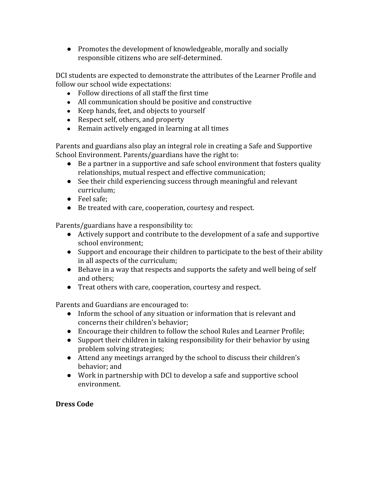● Promotes the development of knowledgeable, morally and socially responsible citizens who are self-determined.

DCI students are expected to demonstrate the attributes of the Learner Profile and follow our school wide expectations:

- **●** Follow directions of all staff the first time
- **●** All communication should be positive and constructive
- **●** Keep hands, feet, and objects to yourself
- **●** Respect self, others, and property
- Remain actively engaged in learning at all times

Parents and guardians also play an integral role in creating a Safe and Supportive School Environment. Parents/guardians have the right to:

- Be a partner in a supportive and safe school environment that fosters quality relationships, mutual respect and effective communication;
- See their child experiencing success through meaningful and relevant curriculum;
- Feel safe;
- Be treated with care, cooperation, courtesy and respect.

Parents/guardians have a responsibility to:

- Actively support and contribute to the development of a safe and supportive school environment;
- Support and encourage their children to participate to the best of their ability in all aspects of the curriculum;
- Behave in a way that respects and supports the safety and well being of self and others;
- Treat others with care, cooperation, courtesy and respect.

Parents and Guardians are encouraged to:

- Inform the school of any situation or information that is relevant and concerns their children's behavior;
- Encourage their children to follow the school Rules and Learner Profile;
- Support their children in taking responsibility for their behavior by using problem solving strategies;
- Attend any meetings arranged by the school to discuss their children's behavior; and
- Work in partnership with DCI to develop a safe and supportive school environment.

# **Dress Code**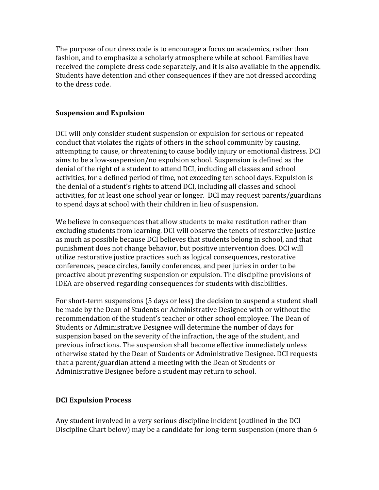The purpose of our dress code is to encourage a focus on academics, rather than fashion, and to emphasize a scholarly atmosphere while at school. Families have received the complete dress code separately, and it is also available in the appendix. Students have detention and other consequences if they are not dressed according to the dress code.

#### **Suspension and Expulsion**

DCI will only consider student suspension or expulsion for serious or repeated conduct that violates the rights of others in the school community by causing, attempting to cause, or threatening to cause bodily injury or emotional distress. DCI aims to be a low-suspension/no expulsion school. Suspension is defined as the denial of the right of a student to attend DCI, including all classes and school activities, for a defined period of time, not exceeding ten school days. Expulsion is the denial of a student's rights to attend DCI, including all classes and school activities, for at least one school year or longer. DCI may request parents/guardians to spend days at school with their children in lieu of suspension.

We believe in consequences that allow students to make restitution rather than excluding students from learning. DCI will observe the tenets of restorative justice as much as possible because DCI believes that students belong in school, and that punishment does not change behavior, but positive intervention does. DCI will utilize restorative justice practices such as logical consequences, restorative conferences, peace circles, family conferences, and peer juries in order to be proactive about preventing suspension or expulsion. The discipline provisions of IDEA are observed regarding consequences for students with disabilities.

For short-term suspensions (5 days or less) the decision to suspend a student shall be made by the Dean of Students or Administrative Designee with or without the recommendation of the student's teacher or other school employee. The Dean of Students or Administrative Designee will determine the number of days for suspension based on the severity of the infraction, the age of the student, and previous infractions. The suspension shall become effective immediately unless otherwise stated by the Dean of Students or Administrative Designee. DCI requests that a parent/guardian attend a meeting with the Dean of Students or Administrative Designee before a student may return to school.

#### **DCI Expulsion Process**

Any student involved in a very serious discipline incident (outlined in the DCI Discipline Chart below) may be a candidate for long-term suspension (more than 6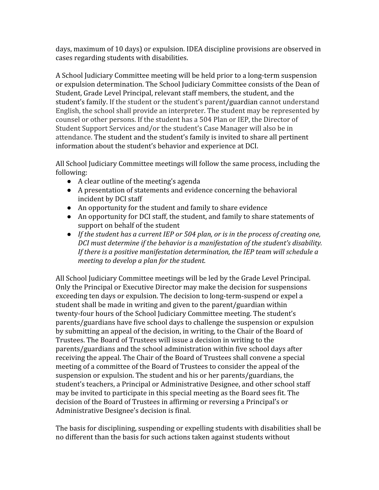days, maximum of 10 days) or expulsion. IDEA discipline provisions are observed in cases regarding students with disabilities.

A School Judiciary Committee meeting will be held prior to a long-term suspension or expulsion determination. The School Judiciary Committee consists of the Dean of Student, Grade Level Principal, relevant staff members, the student, and the student's family. If the student or the student's parent/guardian cannot understand English, the school shall provide an interpreter. The student may be represented by counsel or other persons. If the student has a 504 Plan or IEP, the Director of Student Support Services and/or the student's Case Manager will also be in attendance. The student and the student's family is invited to share all pertinent information about the student's behavior and experience at DCI.

All School Judiciary Committee meetings will follow the same process, including the following:

- A clear outline of the meeting's agenda
- A presentation of statements and evidence concerning the behavioral incident by DCI staff
- An opportunity for the student and family to share evidence
- An opportunity for DCI staff, the student, and family to share statements of support on behalf of the student
- *● If the student has a current IEP or 504 plan, or is in the process of creating one, DCI must determine if the behavior is a manifestation of the student's disability. If there is a positive manifestation determination, the IEP team will schedule a meeting to develop a plan for the student.*

All School Judiciary Committee meetings will be led by the Grade Level Principal. Only the Principal or Executive Director may make the decision for suspensions exceeding ten days or expulsion. The decision to long-term-suspend or expel a student shall be made in writing and given to the parent/guardian within twenty-four hours of the School Judiciary Committee meeting. The student's parents/guardians have five school days to challenge the suspension or expulsion by submitting an appeal of the decision, in writing, to the Chair of the Board of Trustees. The Board of Trustees will issue a decision in writing to the parents/guardians and the school administration within five school days after receiving the appeal. The Chair of the Board of Trustees shall convene a special meeting of a committee of the Board of Trustees to consider the appeal of the suspension or expulsion. The student and his or her parents/guardians, the student's teachers, a Principal or Administrative Designee, and other school staff may be invited to participate in this special meeting as the Board sees fit. The decision of the Board of Trustees in affirming or reversing a Principal's or Administrative Designee's decision is final.

The basis for disciplining, suspending or expelling students with disabilities shall be no different than the basis for such actions taken against students without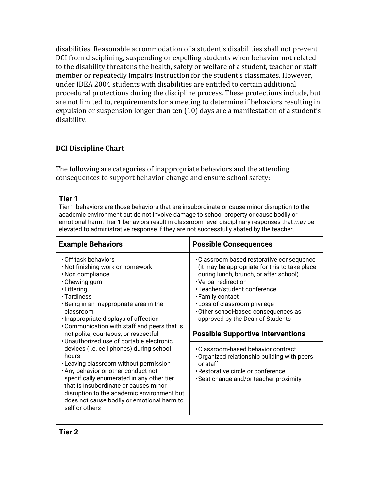disabilities. Reasonable accommodation of a student's disabilities shall not prevent DCI from disciplining, suspending or expelling students when behavior not related to the disability threatens the health, safety or welfare of a student, teacher or staff member or repeatedly impairs instruction for the student's classmates. However, under IDEA 2004 students with disabilities are entitled to certain additional procedural protections during the discipline process. These protections include, but are not limited to, requirements for a meeting to determine if behaviors resulting in expulsion or suspension longer than ten (10) days are a manifestation of a student's disability.

# <span id="page-5-0"></span>**DCI Discipline Chart**

The following are categories of inappropriate behaviors and the attending consequences to support behavior change and ensure school safety:

#### **Tier 1**

Tier 1 behaviors are those behaviors that are insubordinate or cause minor disruption to the academic environment but do not involve damage to school property or cause bodily or emotional harm. Tier 1 behaviors result in classroom-level disciplinary responses that *may* be elevated to administrative response if they are not successfully abated by the teacher.

| <b>Example Behaviors</b>                                                                                                                                                                                                                                                                                                                                                                                                                                                                                                                                                                                                                                                                                | <b>Possible Consequences</b>                                                                                                                                                                                                                                                                                                                                                                                                                                                                                                                            |
|---------------------------------------------------------------------------------------------------------------------------------------------------------------------------------------------------------------------------------------------------------------------------------------------------------------------------------------------------------------------------------------------------------------------------------------------------------------------------------------------------------------------------------------------------------------------------------------------------------------------------------------------------------------------------------------------------------|---------------------------------------------------------------------------------------------------------------------------------------------------------------------------------------------------------------------------------------------------------------------------------------------------------------------------------------------------------------------------------------------------------------------------------------------------------------------------------------------------------------------------------------------------------|
| Off task behaviors<br>. Not finishing work or homework<br>·Non compliance<br>• Chewing gum<br>· Littering<br>• Tardiness<br>. Being in an inappropriate area in the<br>classroom<br>. Inappropriate displays of affection<br>• Communication with staff and peers that is<br>not polite, courteous, or respectful<br>. Unauthorized use of portable electronic<br>devices (i.e. cell phones) during school<br>hours<br>•Leaving classroom without permission<br>. Any behavior or other conduct not<br>specifically enumerated in any other tier<br>that is insubordinate or causes minor<br>disruption to the academic environment but<br>does not cause bodily or emotional harm to<br>self or others | • Classroom based restorative consequence<br>(it may be appropriate for this to take place<br>during lunch, brunch, or after school)<br>• Verbal redirection<br>•Teacher/student conference<br>• Family contact<br>. Loss of classroom privilege<br>Other school-based consequences as<br>approved by the Dean of Students<br><b>Possible Supportive Interventions</b><br>• Classroom-based behavior contract<br>Organized relationship building with peers<br>or staff<br>• Restorative circle or conference<br>· Seat change and/or teacher proximity |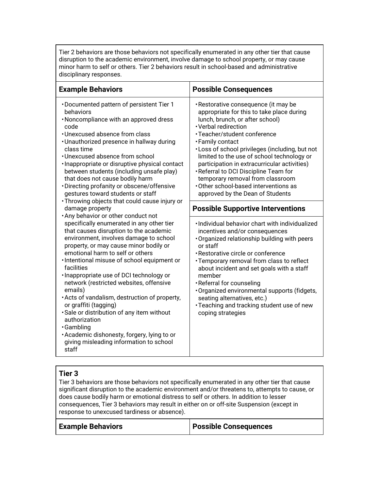Tier 2 behaviors are those behaviors not specifically enumerated in any other tier that cause disruption to the academic environment, involve damage to school property, or may cause minor harm to self or others. Tier 2 behaviors result in school-based and administrative disciplinary responses.

| <b>Example Behaviors</b>                                                                                                                                                                                                                                                                                                                                                                                                                                                                                                                                                                                                                                                                                                                                                                                                                                                                                                                                                                                                                                                                                                                                                                                             | <b>Possible Consequences</b>                                                                                                                                                                                                                                                                                                                                                                                                                                                                                                                                                                                                                                                                                                                                                                                                                                                                                                                                                                                                  |
|----------------------------------------------------------------------------------------------------------------------------------------------------------------------------------------------------------------------------------------------------------------------------------------------------------------------------------------------------------------------------------------------------------------------------------------------------------------------------------------------------------------------------------------------------------------------------------------------------------------------------------------------------------------------------------------------------------------------------------------------------------------------------------------------------------------------------------------------------------------------------------------------------------------------------------------------------------------------------------------------------------------------------------------------------------------------------------------------------------------------------------------------------------------------------------------------------------------------|-------------------------------------------------------------------------------------------------------------------------------------------------------------------------------------------------------------------------------------------------------------------------------------------------------------------------------------------------------------------------------------------------------------------------------------------------------------------------------------------------------------------------------------------------------------------------------------------------------------------------------------------------------------------------------------------------------------------------------------------------------------------------------------------------------------------------------------------------------------------------------------------------------------------------------------------------------------------------------------------------------------------------------|
| • Documented pattern of persistent Tier 1<br>behaviors<br>. Noncompliance with an approved dress<br>code<br>· Unexcused absence from class<br>· Unauthorized presence in hallway during<br>class time<br>•Unexcused absence from school<br>· Inappropriate or disruptive physical contact<br>between students (including unsafe play)<br>that does not cause bodily harm<br>• Directing profanity or obscene/offensive<br>gestures toward students or staff<br>• Throwing objects that could cause injury or<br>damage property<br>. Any behavior or other conduct not<br>specifically enumerated in any other tier<br>that causes disruption to the academic<br>environment, involves damage to school<br>property, or may cause minor bodily or<br>emotional harm to self or others<br>· Intentional misuse of school equipment or<br>facilities<br>. Inappropriate use of DCI technology or<br>network (restricted websites, offensive<br>emails)<br>. Acts of vandalism, destruction of property,<br>or graffiti (tagging)<br>·Sale or distribution of any item without<br>authorization<br><b>.</b> Gambling<br>• Academic dishonesty, forgery, lying to or<br>giving misleading information to school<br>staff | • Restorative consequence (it may be<br>appropriate for this to take place during<br>lunch, brunch, or after school)<br>• Verbal redirection<br>· Teacher/student conference<br>• Family contact<br>. Loss of school privileges (including, but not<br>limited to the use of school technology or<br>participation in extracurricular activities)<br>. Referral to DCI Discipline Team for<br>temporary removal from classroom<br>Other school-based interventions as<br>approved by the Dean of Students<br><b>Possible Supportive Interventions</b><br>· Individual behavior chart with individualized<br>incentives and/or consequences<br>. Organized relationship building with peers<br>or staff<br>• Restorative circle or conference<br>• Temporary removal from class to reflect<br>about incident and set goals with a staff<br>member<br>·Referral for counseling<br>·Organized environmental supports (fidgets,<br>seating alternatives, etc.)<br>• Teaching and tracking student use of new<br>coping strategies |
|                                                                                                                                                                                                                                                                                                                                                                                                                                                                                                                                                                                                                                                                                                                                                                                                                                                                                                                                                                                                                                                                                                                                                                                                                      |                                                                                                                                                                                                                                                                                                                                                                                                                                                                                                                                                                                                                                                                                                                                                                                                                                                                                                                                                                                                                               |

# **Tier 3**

Tier 3 behaviors are those behaviors not specifically enumerated in any other tier that cause significant disruption to the academic environment and/or threatens to, attempts to cause, or does cause bodily harm or emotional distress to self or others. In addition to lesser consequences, Tier 3 behaviors may result in either on or off-site Suspension (except in response to unexcused tardiness or absence).

| <b>Example Behaviors</b> | <b>Possible Consequences</b> |
|--------------------------|------------------------------|
|--------------------------|------------------------------|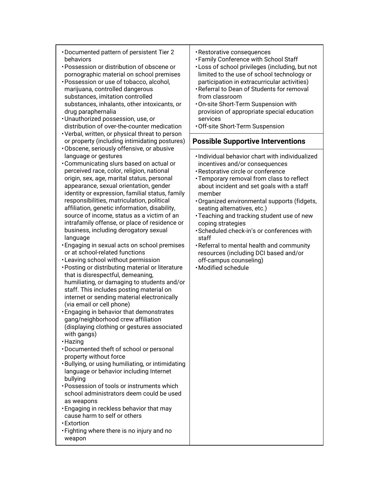| • Documented pattern of persistent Tier 2<br>behaviors<br>• Possession or distribution of obscene or<br>pornographic material on school premises<br>· Possession or use of tobacco, alcohol,<br>marijuana, controlled dangerous<br>substances, imitation controlled<br>substances, inhalants, other intoxicants, or<br>drug paraphernalia<br>· Unauthorized possession, use, or<br>distribution of over-the-counter medication<br>· Verbal, written, or physical threat to person                                                                                                                                                                                                                                                                                                                                                                                                                                                                                                                                                                                                                                                                                                                                                                                                                                                                                                                                                                                                                                                                                     | · Restorative consequences<br>• Family Conference with School Staff<br>. Loss of school privileges (including, but not<br>limited to the use of school technology or<br>participation in extracurricular activities)<br>· Referral to Dean of Students for removal<br>from classroom<br>. On-site Short-Term Suspension with<br>provision of appropriate special education<br>services<br>· Off-site Short-Term Suspension                                                                                                                                                |
|-----------------------------------------------------------------------------------------------------------------------------------------------------------------------------------------------------------------------------------------------------------------------------------------------------------------------------------------------------------------------------------------------------------------------------------------------------------------------------------------------------------------------------------------------------------------------------------------------------------------------------------------------------------------------------------------------------------------------------------------------------------------------------------------------------------------------------------------------------------------------------------------------------------------------------------------------------------------------------------------------------------------------------------------------------------------------------------------------------------------------------------------------------------------------------------------------------------------------------------------------------------------------------------------------------------------------------------------------------------------------------------------------------------------------------------------------------------------------------------------------------------------------------------------------------------------------|---------------------------------------------------------------------------------------------------------------------------------------------------------------------------------------------------------------------------------------------------------------------------------------------------------------------------------------------------------------------------------------------------------------------------------------------------------------------------------------------------------------------------------------------------------------------------|
| or property (including intimidating postures)                                                                                                                                                                                                                                                                                                                                                                                                                                                                                                                                                                                                                                                                                                                                                                                                                                                                                                                                                                                                                                                                                                                                                                                                                                                                                                                                                                                                                                                                                                                         | <b>Possible Supportive Interventions</b>                                                                                                                                                                                                                                                                                                                                                                                                                                                                                                                                  |
| ·Obscene, seriously offensive, or abusive<br>language or gestures<br>• Communicating slurs based on actual or<br>perceived race, color, religion, national<br>origin, sex, age, marital status, personal<br>appearance, sexual orientation, gender<br>identity or expression, familial status, family<br>responsibilities, matriculation, political<br>affiliation, genetic information, disability,<br>source of income, status as a victim of an<br>intrafamily offense, or place of residence or<br>business, including derogatory sexual<br>language<br><b>· Engaging in sexual acts on school premises</b><br>or at school-related functions<br>•Leaving school without permission<br>· Posting or distributing material or literature<br>that is disrespectful, demeaning,<br>humiliating, or damaging to students and/or<br>staff. This includes posting material on<br>internet or sending material electronically<br>(via email or cell phone)<br><b>Engaging in behavior that demonstrates</b><br>gang/neighborhood crew affiliation<br>(displaying clothing or gestures associated<br>with gangs)<br>· Hazing<br>• Documented theft of school or personal<br>property without force<br>· Bullying, or using humiliating, or intimidating<br>language or behavior including Internet<br>bullying<br>· Possession of tools or instruments which<br>school administrators deem could be used<br>as weapons<br>. Engaging in reckless behavior that may<br>cause harm to self or others<br>· Extortion<br>• Fighting where there is no injury and no<br>weapon | . Individual behavior chart with individualized<br>incentives and/or consequences<br>· Restorative circle or conference<br>• Temporary removal from class to reflect<br>about incident and set goals with a staff<br>member<br>Organized environmental supports (fidgets,<br>seating alternatives, etc.)<br>· Teaching and tracking student use of new<br>coping strategies<br>· Scheduled check-in's or conferences with<br>staff<br>. Referral to mental health and community<br>resources (including DCI based and/or<br>off-campus counseling)<br>· Modified schedule |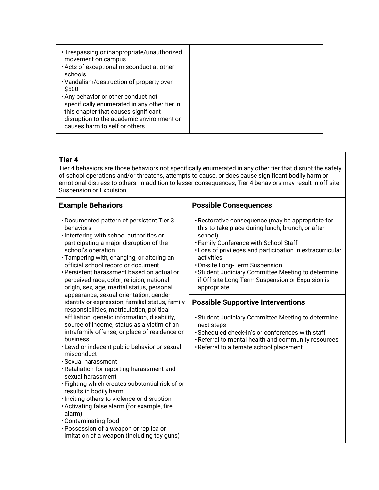| • Trespassing or inappropriate/unauthorized<br>movement on campus<br>. Acts of exceptional misconduct at other<br>schools<br>• Vandalism/destruction of property over                                              |  |
|--------------------------------------------------------------------------------------------------------------------------------------------------------------------------------------------------------------------|--|
| \$500<br>. Any behavior or other conduct not<br>specifically enumerated in any other tier in<br>this chapter that causes significant<br>disruption to the academic environment or<br>causes harm to self or others |  |

# **Tier 4**

Tier 4 behaviors are those behaviors not specifically enumerated in any other tier that disrupt the safety of school operations and/or threatens, attempts to cause, or does cause significant bodily harm or emotional distress to others. In addition to lesser consequences, Tier 4 behaviors may result in off-site Suspension or Expulsion.

| <b>Example Behaviors</b>                                                                                                                                                                                                                                                                                                                                                                                                                                                                                                                                                                                                                                                                                                                                                                                                                                                                                                                                                                                                                                                                                                                                            | <b>Possible Consequences</b>                                                                                                                                                                                                                                                                                                                                                                    |
|---------------------------------------------------------------------------------------------------------------------------------------------------------------------------------------------------------------------------------------------------------------------------------------------------------------------------------------------------------------------------------------------------------------------------------------------------------------------------------------------------------------------------------------------------------------------------------------------------------------------------------------------------------------------------------------------------------------------------------------------------------------------------------------------------------------------------------------------------------------------------------------------------------------------------------------------------------------------------------------------------------------------------------------------------------------------------------------------------------------------------------------------------------------------|-------------------------------------------------------------------------------------------------------------------------------------------------------------------------------------------------------------------------------------------------------------------------------------------------------------------------------------------------------------------------------------------------|
| • Documented pattern of persistent Tier 3<br>behaviors<br>· Interfering with school authorities or<br>participating a major disruption of the<br>school's operation<br>· Tampering with, changing, or altering an<br>official school record or document<br>• Persistent harassment based on actual or<br>perceived race, color, religion, national<br>origin, sex, age, marital status, personal<br>appearance, sexual orientation, gender<br>identity or expression, familial status, family<br>responsibilities, matriculation, political<br>affiliation, genetic information, disability,<br>source of income, status as a victim of an<br>intrafamily offense, or place of residence or<br>business<br>. Lewd or indecent public behavior or sexual<br>misconduct<br>• Sexual harassment<br>· Retaliation for reporting harassment and<br>sexual harassment<br>. Fighting which creates substantial risk of or<br>results in bodily harm<br>· Inciting others to violence or disruption<br>· Activating false alarm (for example, fire<br>alarm)<br>•Contaminating food<br>• Possession of a weapon or replica or<br>imitation of a weapon (including toy guns) | · Restorative consequence (may be appropriate for<br>this to take place during lunch, brunch, or after<br>school)<br>• Family Conference with School Staff<br>. Loss of privileges and participation in extracurricular<br>activities<br>.On-site Long-Term Suspension<br>• Student Judiciary Committee Meeting to determine<br>if Off-site Long-Term Suspension or Expulsion is<br>appropriate |
|                                                                                                                                                                                                                                                                                                                                                                                                                                                                                                                                                                                                                                                                                                                                                                                                                                                                                                                                                                                                                                                                                                                                                                     | <b>Possible Supportive Interventions</b>                                                                                                                                                                                                                                                                                                                                                        |
|                                                                                                                                                                                                                                                                                                                                                                                                                                                                                                                                                                                                                                                                                                                                                                                                                                                                                                                                                                                                                                                                                                                                                                     | • Student Judiciary Committee Meeting to determine<br>next steps<br>· Scheduled check-in's or conferences with staff<br>. Referral to mental health and community resources<br>· Referral to alternate school placement                                                                                                                                                                         |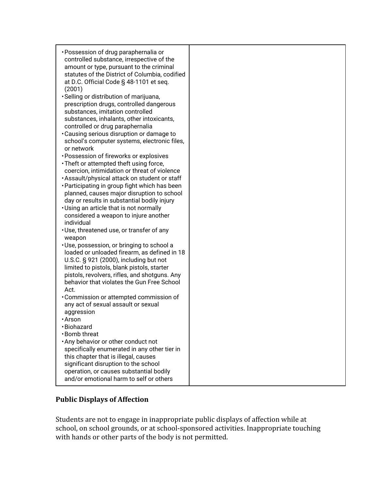| • Possession of drug paraphernalia or<br>controlled substance, irrespective of the<br>amount or type, pursuant to the criminal<br>statutes of the District of Columbia, codified<br>at D.C. Official Code § 48-1101 et seq.<br>(2001)<br>· Selling or distribution of marijuana,<br>prescription drugs, controlled dangerous<br>substances, imitation controlled<br>substances, inhalants, other intoxicants,<br>controlled or drug paraphernalia<br>. Causing serious disruption or damage to<br>school's computer systems, electronic files,<br>or network<br>• Possession of fireworks or explosives<br>. Theft or attempted theft using force,<br>coercion, intimidation or threat of violence<br>. Assault/physical attack on student or staff<br>• Participating in group fight which has been<br>planned, causes major disruption to school<br>day or results in substantial bodily injury<br>. Using an article that is not normally<br>considered a weapon to injure another<br>individual<br>· Use, threatened use, or transfer of any<br>weapon<br>· Use, possession, or bringing to school a<br>loaded or unloaded firearm, as defined in 18<br>U.S.C. § 921 (2000), including but not<br>limited to pistols, blank pistols, starter<br>pistols, revolvers, rifles, and shotguns. Any<br>behavior that violates the Gun Free School<br>Act.<br>• Commission or attempted commission of<br>any act of sexual assault or sexual<br>aggression<br>∙Arson<br>•Biohazard<br>• Bomb threat<br>. Any behavior or other conduct not |  |
|-----------------------------------------------------------------------------------------------------------------------------------------------------------------------------------------------------------------------------------------------------------------------------------------------------------------------------------------------------------------------------------------------------------------------------------------------------------------------------------------------------------------------------------------------------------------------------------------------------------------------------------------------------------------------------------------------------------------------------------------------------------------------------------------------------------------------------------------------------------------------------------------------------------------------------------------------------------------------------------------------------------------------------------------------------------------------------------------------------------------------------------------------------------------------------------------------------------------------------------------------------------------------------------------------------------------------------------------------------------------------------------------------------------------------------------------------------------------------------------------------------------------------------------------|--|
|                                                                                                                                                                                                                                                                                                                                                                                                                                                                                                                                                                                                                                                                                                                                                                                                                                                                                                                                                                                                                                                                                                                                                                                                                                                                                                                                                                                                                                                                                                                                         |  |
|                                                                                                                                                                                                                                                                                                                                                                                                                                                                                                                                                                                                                                                                                                                                                                                                                                                                                                                                                                                                                                                                                                                                                                                                                                                                                                                                                                                                                                                                                                                                         |  |
|                                                                                                                                                                                                                                                                                                                                                                                                                                                                                                                                                                                                                                                                                                                                                                                                                                                                                                                                                                                                                                                                                                                                                                                                                                                                                                                                                                                                                                                                                                                                         |  |
| specifically enumerated in any other tier in                                                                                                                                                                                                                                                                                                                                                                                                                                                                                                                                                                                                                                                                                                                                                                                                                                                                                                                                                                                                                                                                                                                                                                                                                                                                                                                                                                                                                                                                                            |  |
|                                                                                                                                                                                                                                                                                                                                                                                                                                                                                                                                                                                                                                                                                                                                                                                                                                                                                                                                                                                                                                                                                                                                                                                                                                                                                                                                                                                                                                                                                                                                         |  |
| this chapter that is illegal, causes                                                                                                                                                                                                                                                                                                                                                                                                                                                                                                                                                                                                                                                                                                                                                                                                                                                                                                                                                                                                                                                                                                                                                                                                                                                                                                                                                                                                                                                                                                    |  |
| significant disruption to the school                                                                                                                                                                                                                                                                                                                                                                                                                                                                                                                                                                                                                                                                                                                                                                                                                                                                                                                                                                                                                                                                                                                                                                                                                                                                                                                                                                                                                                                                                                    |  |
| operation, or causes substantial bodily                                                                                                                                                                                                                                                                                                                                                                                                                                                                                                                                                                                                                                                                                                                                                                                                                                                                                                                                                                                                                                                                                                                                                                                                                                                                                                                                                                                                                                                                                                 |  |
|                                                                                                                                                                                                                                                                                                                                                                                                                                                                                                                                                                                                                                                                                                                                                                                                                                                                                                                                                                                                                                                                                                                                                                                                                                                                                                                                                                                                                                                                                                                                         |  |
| and/or emotional harm to self or others                                                                                                                                                                                                                                                                                                                                                                                                                                                                                                                                                                                                                                                                                                                                                                                                                                                                                                                                                                                                                                                                                                                                                                                                                                                                                                                                                                                                                                                                                                 |  |

# **Public Displays of Affection**

Students are not to engage in inappropriate public displays of affection while at school, on school grounds, or at school-sponsored activities. Inappropriate touching with hands or other parts of the body is not permitted.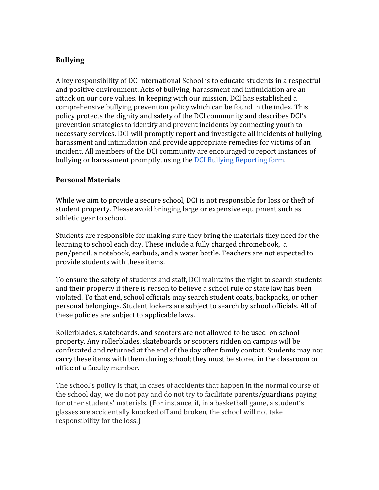#### **Bullying**

A key responsibility of DC International School is to educate students in a respectful and positive environment. Acts of bullying, harassment and intimidation are an attack on our core values. In keeping with our mission, DCI has established a comprehensive bullying prevention policy which can be found in the index. This policy protects the dignity and safety of the DCI community and describes DCI's prevention strategies to identify and prevent incidents by connecting youth to necessary services. DCI will promptly report and investigate all incidents of bullying, harassment and intimidation and provide appropriate remedies for victims of an incident. All members of the DCI community are encouraged to report instances of bullying or harassment promptly, using the [DCI Bullying Reporting form](https://docs.google.com/document/d/1xdSupYpWYZ0q1-AxR2qTdsHwJXFPH-AwSp16ZnaKNFo/edit?usp=sharing).

#### **Personal Materials**

While we aim to provide a secure school, DCI is not responsible for loss or theft of student property. Please avoid bringing large or expensive equipment such as athletic gear to school.

Students are responsible for making sure they bring the materials they need for the learning to school each day. These include a fully charged chromebook, a pen/pencil, a notebook, earbuds, and a water bottle. Teachers are not expected to provide students with these items.

To ensure the safety of students and staff, DCI maintains the right to search students and their property if there is reason to believe a school rule or state law has been violated. To that end, school officials may search student coats, backpacks, or other personal belongings. Student lockers are subject to search by school officials. All of these policies are subject to applicable laws.

Rollerblades, skateboards, and scooters are not allowed to be used on school property. Any rollerblades, skateboards or scooters ridden on campus will be confiscated and returned at the end of the day after family contact. Students may not carry these items with them during school; they must be stored in the classroom or office of a faculty member.

The school's policy is that, in cases of accidents that happen in the normal course of the school day, we do not pay and do not try to facilitate parents/guardians paying for other students' materials. (For instance, if, in a basketball game, a student's glasses are accidentally knocked off and broken, the school will not take responsibility for the loss.)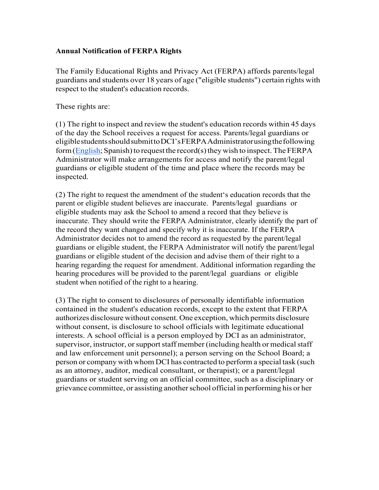#### **Annual Notification of FERPA Rights**

The Family Educational Rights and Privacy Act (FERPA) affords parents/legal guardians and students over 18 years of age ("eligible students") certain rights with respect to the student's education records.

These rights are:

(1) The right to inspect and review the student's education records within 45 days of the day the School receives a request for access. Parents/legal guardians or eligiblestudentsshouldsubmittoDCI'sFERPAAdministratorusingthefollowing form (English; Spanish) to request the record(s) they wish to inspect. The FERPA Administrator will make arrangements for access and notify the parent/legal guardians or eligible student of the time and place where the records may be inspected.

(2) The right to request the amendment of the student's education records that the parent or eligible student believes are inaccurate. Parents/legal guardians or eligible students may ask the School to amend a record that they believe is inaccurate. They should write the FERPA Administrator, clearly identify the part of the record they want changed and specify why it is inaccurate. If the FERPA Administrator decides not to amend the record as requested by the parent/legal guardians or eligible student, the FERPA Administrator will notify the parent/legal guardians or eligible student of the decision and advise them of their right to a hearing regarding the request for amendment. Additional information regarding the hearing procedures will be provided to the parent/legal guardians or eligible student when notified of the right to a hearing.

(3) The right to consent to disclosures of personally identifiable information contained in the student's education records, except to the extent that FERPA authorizes disclosure without consent. One exception, which permits disclosure without consent, is disclosure to school officials with legitimate educational interests. A school official is a person employed by DCI as an administrator, supervisor, instructor, or support staff member (including health or medical staff and law enforcement unit personnel); a person serving on the School Board; a person or company with whom DCI has contracted to perform a special task (such as an attorney, auditor, medical consultant, or therapist); or a parent/legal guardians or student serving on an official committee, such as a disciplinary or grievance committee, or assisting anotherschool official in performing his or her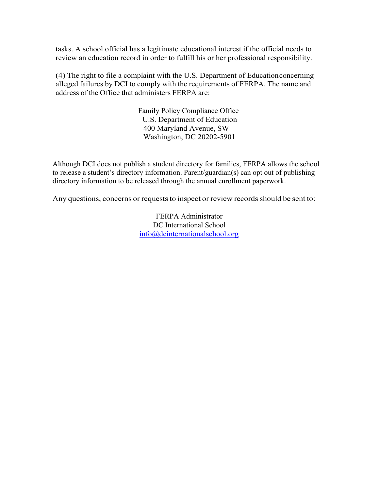tasks. A school official has a legitimate educational interest if the official needs to review an education record in order to fulfill his or her professional responsibility.

(4) The right to file a complaint with the U.S. Department of Educationconcerning alleged failures by DCI to comply with the requirements of FERPA. The name and address of the Office that administers FERPA are:

> Family Policy Compliance Office U.S. Department of Education 400 Maryland Avenue, SW Washington, DC 20202-5901

Although DCI does not publish a student directory for families, FERPA allows the school to release a student's directory information. Parent/guardian(s) can opt out of publishing directory information to be released through the annual enrollment paperwork.

Any questions, concerns or requests to inspect or review records should be sent to:

FERPA Administrator DC International School info@dcinternationalschool.org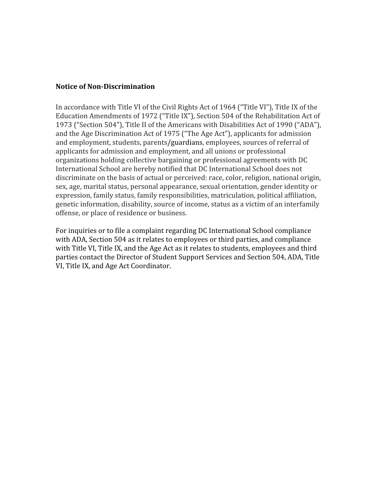#### **Notice of Non-Discrimination**

In accordance with Title VI of the Civil Rights Act of 1964 ("Title VI"), Title IX of the Education Amendments of 1972 ("Title IX"), Section 504 of the Rehabilitation Act of 1973 ("Section 504"), Title II of the Americans with Disabilities Act of 1990 ("ADA"), and the Age Discrimination Act of 1975 ("The Age Act"), applicants for admission and employment, students, parents/guardians, employees, sources of referral of applicants for admission and employment, and all unions or professional organizations holding collective bargaining or professional agreements with DC International School are hereby notified that DC International School does not discriminate on the basis of actual or perceived: race, color, religion, national origin, sex, age, marital status, personal appearance, sexual orientation, gender identity or expression, family status, family responsibilities, matriculation, political affiliation, genetic information, disability, source of income, status as a victim of an interfamily offense, or place of residence or business.

For inquiries or to file a complaint regarding DC International School compliance with ADA, Section 504 as it relates to employees or third parties, and compliance with Title VI, Title IX, and the Age Act as it relates to students, employees and third parties contact the Director of Student Support Services and Section 504, ADA, Title VI, Title IX, and Age Act Coordinator.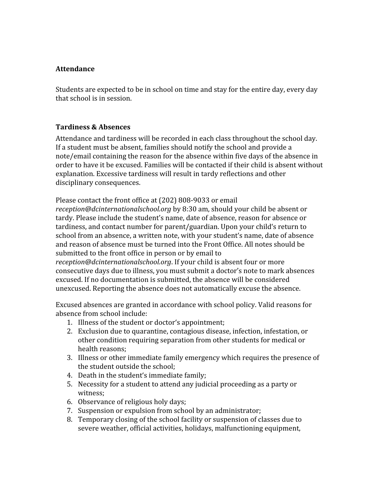#### **Attendance**

Students are expected to be in school on time and stay for the entire day, every day that school is in session.

#### **Tardiness & Absences**

Attendance and tardiness will be recorded in each class throughout the school day. If a student must be absent, families should notify the school and provide a note/email containing the reason for the absence within five days of the absence in order to have it be excused. Families will be contacted if their child is absent without explanation. Excessive tardiness will result in tardy reflections and other disciplinary consequences.

Please contact the front office at (202) 808-9033 or email *reception@dcinternationalschool.org* by 8:30 am, should your child be absent or tardy. Please include the student's name, date of absence, reason for absence or tardiness, and contact number for parent/guardian. Upon your child's return to

school from an absence, a written note, with your student's name, date of absence and reason of absence must be turned into the Front Office. All notes should be submitted to the front office in person or by email to *reception@dcinternationalschool.org*. If your child is absent four or more

consecutive days due to illness, you must submit a doctor's note to mark absences excused. If no documentation is submitted, the absence will be considered unexcused. Reporting the absence does not automatically excuse the absence.

Excused absences are granted in accordance with school policy. Valid reasons for absence from school include:

- 1. Illness of the student or doctor's appointment;
- 2. Exclusion due to quarantine, contagious disease, infection, infestation, or other condition requiring separation from other students for medical or health reasons;
- 3. Illness or other immediate family emergency which requires the presence of the student outside the school;
- 4. Death in the student's immediate family;
- 5. Necessity for a student to attend any judicial proceeding as a party or witness;
- 6. Observance of religious holy days;
- 7. Suspension or expulsion from school by an administrator;
- 8. Temporary closing of the school facility or suspension of classes due to severe weather, official activities, holidays, malfunctioning equipment,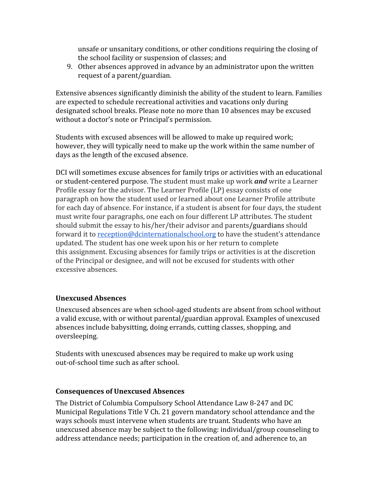unsafe or unsanitary conditions, or other conditions requiring the closing of the school facility or suspension of classes; and

9. Other absences approved in advance by an administrator upon the written request of a parent/guardian.

Extensive absences significantly diminish the ability of the student to learn. Families are expected to schedule recreational activities and vacations only during designated school breaks. Please note no more than 10 absences may be excused without a doctor's note or Principal's permission.

Students with excused absences will be allowed to make up required work; however, they will typically need to make up the work within the same number of days as the length of the excused absence.

DCI will sometimes excuse absences for family trips or activities with an educational or student-centered purpose. The student must make up work *and* write a Learner Profile essay for the advisor. The Learner Profile (LP) essay consists of one paragraph on how the student used or learned about one Learner Profile attribute for each day of absence. For instance, if a student is absent for four days, the student must write four paragraphs, one each on four different LP attributes. The student should submit the essay to his/her/their advisor and parents/guardians should forward it to [reception@dcinternationalschool.org](mailto:reception@dcinternationalschool.org) to have the student's attendance updated. The student has one week upon his or her return to complete this assignment. Excusing absences for family trips or activities is at the discretion of the Principal or designee, and will not be excused for students with other excessive absences.

# **Unexcused Absences**

Unexcused absences are when school-aged students are absent from school without a valid excuse, with or without parental/guardian approval. Examples of unexcused absences include babysitting, doing errands, cutting classes, shopping, and oversleeping.

Students with unexcused absences may be required to make up work using out-of-school time such as after school.

#### **Consequences of Unexcused Absences**

The District of Columbia Compulsory School Attendance Law 8-247 and DC Municipal Regulations Title V Ch. 21 govern mandatory school attendance and the ways schools must intervene when students are truant. Students who have an unexcused absence may be subject to the following: individual/group counseling to address attendance needs; participation in the creation of, and adherence to, an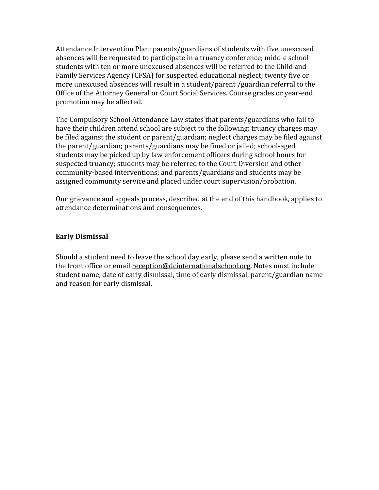Attendance Intervention Plan; parents/guardians of students with five unexcused absences will be requested to participate in a truancy conference; middle school students with ten or more unexcused absences will be referred to the Child and Family Services Agency (CFSA) for suspected educational neglect; twenty five or more unexcused absences will result in a student/parent /guardian referral to the Office of the Attorney General or Court Social Services. Course grades or year-end promotion may be affected.

The Compulsory School Attendance Law states that parents/guardians who fail to have their children attend school are subject to the following: truancy charges may be filed against the student or parent/guardian; neglect charges may be filed against the parent/guardian; parents/guardians may be fined or jailed; school-aged students may be picked up by law enforcement officers during school hours for suspected truancy; students may be referred to the Court Diversion and other community-based interventions; and parents/guardians and students may be assigned community service and placed under court supervision/probation.

Our grievance and appeals process, described at the end of this handbook, applies to attendance determinations and consequences.

#### **Early Dismissal**

Should a student need to leave the school day early, please send a written note to the front office or email [reception@dcinternationalschool.org.](mailto:reception@dcinternationalschool.org) Notes must include student name, date of early dismissal, time of early dismissal, parent/guardian name and reason for early dismissal.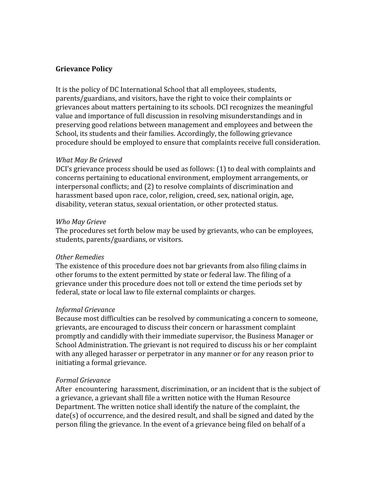#### **Grievance Policy**

It is the policy of DC International School that all employees, students, parents/guardians, and visitors, have the right to voice their complaints or grievances about matters pertaining to its schools. DCI recognizes the meaningful value and importance of full discussion in resolving misunderstandings and in preserving good relations between management and employees and between the School, its students and their families. Accordingly, the following grievance procedure should be employed to ensure that complaints receive full consideration.

#### *What May Be Grieved*

DCI's grievance process should be used as follows: (1) to deal with complaints and concerns pertaining to educational environment, employment arrangements, or interpersonal conflicts; and (2) to resolve complaints of discrimination and harassment based upon race, color, religion, creed, sex, national origin, age, disability, veteran status, sexual orientation, or other protected status.

#### *Who May Grieve*

The procedures set forth below may be used by grievants, who can be employees, students, parents/guardians, or visitors.

#### *Other Remedies*

The existence of this procedure does not bar grievants from also filing claims in other forums to the extent permitted by state or federal law. The filing of a grievance under this procedure does not toll or extend the time periods set by federal, state or local law to file external complaints or charges.

#### *Informal Grievance*

Because most difficulties can be resolved by communicating a concern to someone, grievants, are encouraged to discuss their concern or harassment complaint promptly and candidly with their immediate supervisor, the Business Manager or School Administration. The grievant is not required to discuss his or her complaint with any alleged harasser or perpetrator in any manner or for any reason prior to initiating a formal grievance.

#### *Formal Grievance*

After encountering harassment, discrimination, or an incident that is the subject of a grievance, a grievant shall file a written notice with the Human Resource Department. The written notice shall identify the nature of the complaint, the date(s) of occurrence, and the desired result, and shall be signed and dated by the person filing the grievance. In the event of a grievance being filed on behalf of a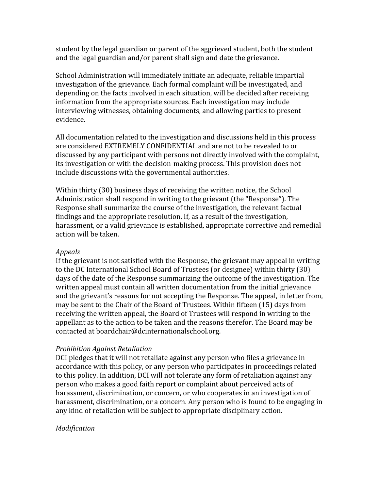student by the legal guardian or parent of the aggrieved student, both the student and the legal guardian and/or parent shall sign and date the grievance.

School Administration will immediately initiate an adequate, reliable impartial investigation of the grievance. Each formal complaint will be investigated, and depending on the facts involved in each situation, will be decided after receiving information from the appropriate sources. Each investigation may include interviewing witnesses, obtaining documents, and allowing parties to present evidence.

All documentation related to the investigation and discussions held in this process are considered EXTREMELY CONFIDENTIAL and are not to be revealed to or discussed by any participant with persons not directly involved with the complaint, its investigation or with the decision-making process. This provision does not include discussions with the governmental authorities.

Within thirty (30) business days of receiving the written notice, the School Administration shall respond in writing to the grievant (the "Response"). The Response shall summarize the course of the investigation, the relevant factual findings and the appropriate resolution. If, as a result of the investigation, harassment, or a valid grievance is established, appropriate corrective and remedial action will be taken.

#### *Appeals*

If the grievant is not satisfied with the Response, the grievant may appeal in writing to the DC International School Board of Trustees (or designee) within thirty (30) days of the date of the Response summarizing the outcome of the investigation. The written appeal must contain all written documentation from the initial grievance and the grievant's reasons for not accepting the Response. The appeal, in letter from, may be sent to the Chair of the Board of Trustees. Within fifteen (15) days from receiving the written appeal, the Board of Trustees will respond in writing to the appellant as to the action to be taken and the reasons therefor. The Board may be contacted at boardchair@dcinternationalschool.org.

#### *Prohibition Against Retaliation*

DCI pledges that it will not retaliate against any person who files a grievance in accordance with this policy, or any person who participates in proceedings related to this policy. In addition, DCI will not tolerate any form of retaliation against any person who makes a good faith report or complaint about perceived acts of harassment, discrimination, or concern, or who cooperates in an investigation of harassment, discrimination, or a concern. Any person who is found to be engaging in any kind of retaliation will be subject to appropriate disciplinary action.

#### *Modification*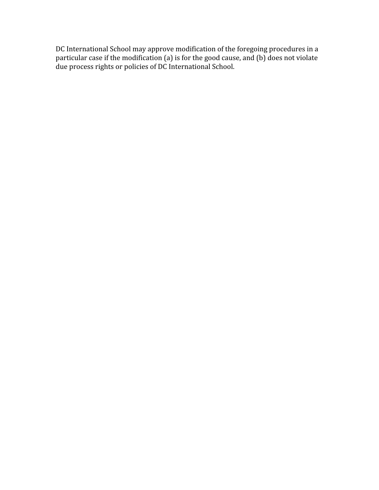DC International School may approve modification of the foregoing procedures in a particular case if the modification (a) is for the good cause, and (b) does not violate due process rights or policies of DC International School.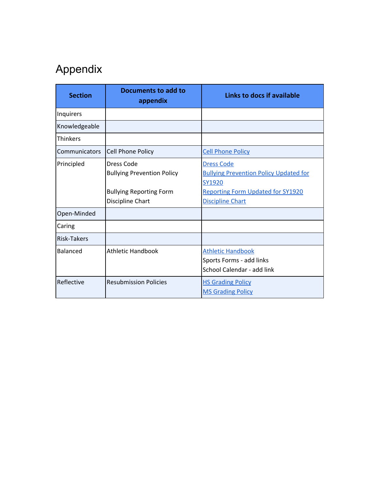# Appendix

| <b>Section</b>  | Documents to add to<br>appendix                                                                       | Links to docs if available                                                                                                                          |
|-----------------|-------------------------------------------------------------------------------------------------------|-----------------------------------------------------------------------------------------------------------------------------------------------------|
| Inquirers       |                                                                                                       |                                                                                                                                                     |
| Knowledgeable   |                                                                                                       |                                                                                                                                                     |
| <b>Thinkers</b> |                                                                                                       |                                                                                                                                                     |
| Communicators   | <b>Cell Phone Policy</b>                                                                              | <b>Cell Phone Policy</b>                                                                                                                            |
| Principled      | Dress Code<br><b>Bullying Prevention Policy</b><br><b>Bullying Reporting Form</b><br>Discipline Chart | <b>Dress Code</b><br><b>Bullying Prevention Policy Updated for</b><br>SY1920<br><b>Reporting Form Updated for SY1920</b><br><b>Discipline Chart</b> |
| Open-Minded     |                                                                                                       |                                                                                                                                                     |
| Caring          |                                                                                                       |                                                                                                                                                     |
| Risk-Takers     |                                                                                                       |                                                                                                                                                     |
| <b>Balanced</b> | <b>Athletic Handbook</b>                                                                              | <b>Athletic Handbook</b><br>Sports Forms - add links<br>School Calendar - add link                                                                  |
| Reflective      | <b>Resubmission Policies</b>                                                                          | <b>HS Grading Policy</b><br><b>MS Grading Policy</b>                                                                                                |